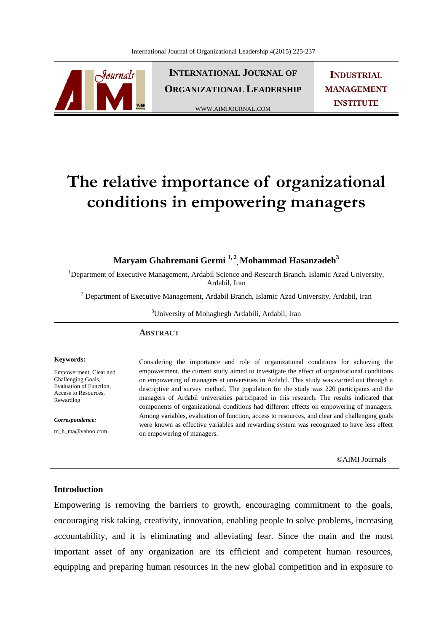

**INTERNATIONAL JOURNAL OF ORGANIZATIONAL LEADERSHIP**

WWW.AIMIJOURNAL.COM

**INDUSTRIAL MANAGEMENT INSTITUTE**

# **The relative importance of organizational conditions in empowering managers**

# **Maryam Ghahremani Germi 1, 2, Mohammad Hasanzadeh3**

<sup>1</sup>Department of Executive Management, Ardabil Science and Research Branch, Islamic Azad University, Ardabil, Iran

<sup>2</sup> Department of Executive Management, Ardabil Branch, Islamic Azad University, Ardabil, Iran

<sup>3</sup>University of Mohaghegh Ardabili, Ardabil, Iran

#### **ABSTRACT**

#### **Keywords:**

Empowerment, Clear and Challenging Goals, Evaluation of Function, Access to Resources, Rewarding

*Correspondence:* 

m\_h\_ma@yahoo.com

Considering the importance and role of organizational conditions for achieving the empowerment, the current study aimed to investigate the effect of organizational conditions on empowering of managers at universities in Ardabil. This study was carried out through a descriptive and survey method. The population for the study was 220 participants and the managers of Ardabil universities participated in this research. The results indicated that components of organizational conditions had different effects on empowering of managers. Among variables, evaluation of function, access to resources, and clear and challenging goals were known as effective variables and rewarding system was recognized to have less effect on empowering of managers.

©AIMI Journals

## **Introduction**

Empowering is removing the barriers to growth, encouraging commitment to the goals, encouraging risk taking, creativity, innovation, enabling people to solve problems, increasing accountability, and it is eliminating and alleviating fear. Since the main and the most important asset of any organization are its efficient and competent human resources, equipping and preparing human resources in the new global competition and in exposure to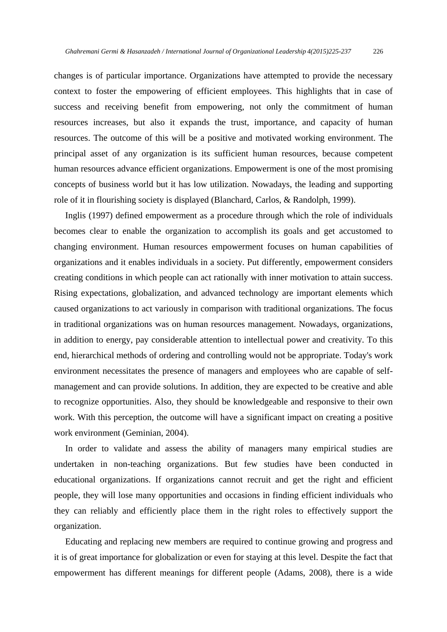changes is of particular importance. Organizations have attempted to provide the necessary context to foster the empowering of efficient employees. This highlights that in case of success and receiving benefit from empowering, not only the commitment of human resources increases, but also it expands the trust, importance, and capacity of human resources. The outcome of this will be a positive and motivated working environment. The principal asset of any organization is its sufficient human resources, because competent human resources advance efficient organizations. Empowerment is one of the most promising concepts of business world but it has low utilization. Nowadays, the leading and supporting role of it in flourishing society is displayed (Blanchard, Carlos, & Randolph, 1999).

 Inglis (1997) defined empowerment as a procedure through which the role of individuals becomes clear to enable the organization to accomplish its goals and get accustomed to changing environment. Human resources empowerment focuses on human capabilities of organizations and it enables individuals in a society. Put differently, empowerment considers creating conditions in which people can act rationally with inner motivation to attain success. Rising expectations, globalization, and advanced technology are important elements which caused organizations to act variously in comparison with traditional organizations. The focus in traditional organizations was on human resources management. Nowadays, organizations, in addition to energy, pay considerable attention to intellectual power and creativity. To this end, hierarchical methods of ordering and controlling would not be appropriate. Today's work environment necessitates the presence of managers and employees who are capable of selfmanagement and can provide solutions. In addition, they are expected to be creative and able to recognize opportunities. Also, they should be knowledgeable and responsive to their own work. With this perception, the outcome will have a significant impact on creating a positive work environment (Geminian, 2004).

 In order to validate and assess the ability of managers many empirical studies are undertaken in non-teaching organizations. But few studies have been conducted in educational organizations. If organizations cannot recruit and get the right and efficient people, they will lose many opportunities and occasions in finding efficient individuals who they can reliably and efficiently place them in the right roles to effectively support the organization.

 Educating and replacing new members are required to continue growing and progress and it is of great importance for globalization or even for staying at this level. Despite the fact that empowerment has different meanings for different people (Adams, 2008), there is a wide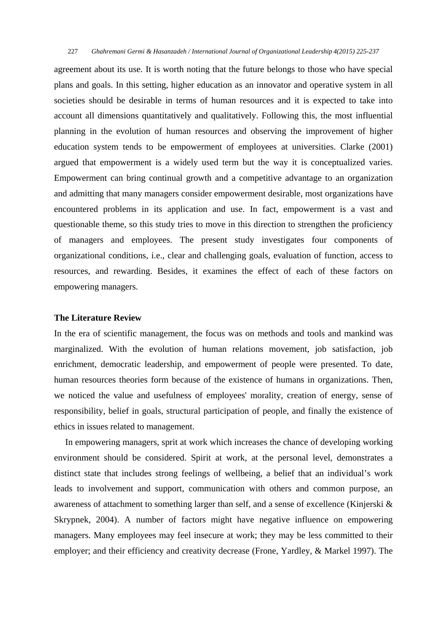agreement about its use. It is worth noting that the future belongs to those who have special plans and goals. In this setting, higher education as an innovator and operative system in all societies should be desirable in terms of human resources and it is expected to take into account all dimensions quantitatively and qualitatively. Following this, the most influential planning in the evolution of human resources and observing the improvement of higher education system tends to be empowerment of employees at universities. Clarke (2001) argued that empowerment is a widely used term but the way it is conceptualized varies. Empowerment can bring continual growth and a competitive advantage to an organization and admitting that many managers consider empowerment desirable, most organizations have encountered problems in its application and use. In fact, empowerment is a vast and questionable theme, so this study tries to move in this direction to strengthen the proficiency of managers and employees. The present study investigates four components of organizational conditions, i.e., clear and challenging goals, evaluation of function, access to resources, and rewarding. Besides, it examines the effect of each of these factors on empowering managers.

## **The Literature Review**

In the era of scientific management, the focus was on methods and tools and mankind was marginalized. With the evolution of human relations movement, job satisfaction, job enrichment, democratic leadership, and empowerment of people were presented. To date, human resources theories form because of the existence of humans in organizations. Then, we noticed the value and usefulness of employees' morality, creation of energy, sense of responsibility, belief in goals, structural participation of people, and finally the existence of ethics in issues related to management.

 In empowering managers, sprit at work which increases the chance of developing working environment should be considered. Spirit at work, at the personal level, demonstrates a distinct state that includes strong feelings of wellbeing, a belief that an individual's work leads to involvement and support, communication with others and common purpose, an awareness of attachment to something larger than self, and a sense of excellence (Kinjerski & Skrypnek, 2004). A number of factors might have negative influence on empowering managers. Many employees may feel insecure at work; they may be less committed to their employer; and their efficiency and creativity decrease (Frone, Yardley, & Markel 1997). The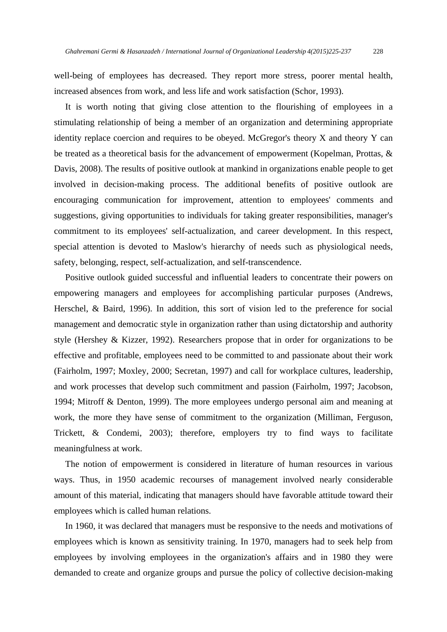well-being of employees has decreased. They report more stress, poorer mental health, increased absences from work, and less life and work satisfaction (Schor, 1993).

 It is worth noting that giving close attention to the flourishing of employees in a stimulating relationship of being a member of an organization and determining appropriate identity replace coercion and requires to be obeyed. McGregor's theory X and theory Y can be treated as a theoretical basis for the advancement of empowerment (Kopelman, Prottas, & Davis, 2008). The results of positive outlook at mankind in organizations enable people to get involved in decision-making process. The additional benefits of positive outlook are encouraging communication for improvement, attention to employees' comments and suggestions, giving opportunities to individuals for taking greater responsibilities, manager's commitment to its employees' self-actualization, and career development. In this respect, special attention is devoted to Maslow's hierarchy of needs such as physiological needs, safety, belonging, respect, self-actualization, and self-transcendence.

 Positive outlook guided successful and influential leaders to concentrate their powers on empowering managers and employees for accomplishing particular purposes (Andrews, Herschel, & Baird, 1996). In addition, this sort of vision led to the preference for social management and democratic style in organization rather than using dictatorship and authority style (Hershey & Kizzer, 1992). Researchers propose that in order for organizations to be effective and profitable, employees need to be committed to and passionate about their work (Fairholm, 1997; Moxley, 2000; Secretan, 1997) and call for workplace cultures, leadership, and work processes that develop such commitment and passion (Fairholm, 1997; Jacobson, 1994; Mitroff & Denton, 1999). The more employees undergo personal aim and meaning at work, the more they have sense of commitment to the organization (Milliman, Ferguson, Trickett, & Condemi, 2003); therefore, employers try to find ways to facilitate meaningfulness at work.

 The notion of empowerment is considered in literature of human resources in various ways. Thus, in 1950 academic recourses of management involved nearly considerable amount of this material, indicating that managers should have favorable attitude toward their employees which is called human relations.

 In 1960, it was declared that managers must be responsive to the needs and motivations of employees which is known as sensitivity training. In 1970, managers had to seek help from employees by involving employees in the organization's affairs and in 1980 they were demanded to create and organize groups and pursue the policy of collective decision-making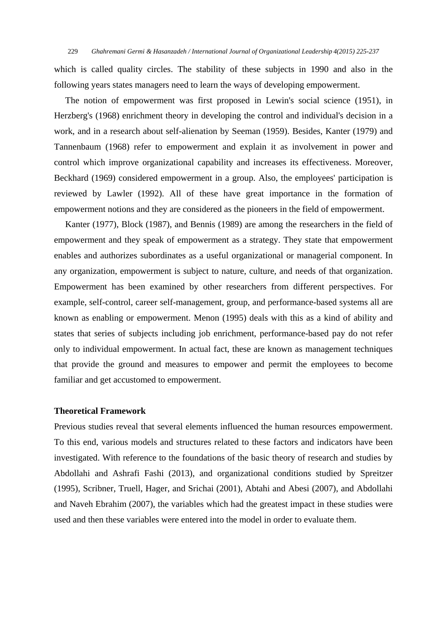which is called quality circles. The stability of these subjects in 1990 and also in the following years states managers need to learn the ways of developing empowerment.

 The notion of empowerment was first proposed in Lewin's social science (1951), in Herzberg's (1968) enrichment theory in developing the control and individual's decision in a work, and in a research about self-alienation by Seeman (1959). Besides, Kanter (1979) and Tannenbaum (1968) refer to empowerment and explain it as involvement in power and control which improve organizational capability and increases its effectiveness. Moreover, Beckhard (1969) considered empowerment in a group. Also, the employees' participation is reviewed by Lawler (1992). All of these have great importance in the formation of empowerment notions and they are considered as the pioneers in the field of empowerment.

 Kanter (1977), Block (1987), and Bennis (1989) are among the researchers in the field of empowerment and they speak of empowerment as a strategy. They state that empowerment enables and authorizes subordinates as a useful organizational or managerial component. In any organization, empowerment is subject to nature, culture, and needs of that organization. Empowerment has been examined by other researchers from different perspectives. For example, self-control, career self-management, group, and performance-based systems all are known as enabling or empowerment. Menon (1995) deals with this as a kind of ability and states that series of subjects including job enrichment, performance-based pay do not refer only to individual empowerment. In actual fact, these are known as management techniques that provide the ground and measures to empower and permit the employees to become familiar and get accustomed to empowerment.

#### **Theoretical Framework**

Previous studies reveal that several elements influenced the human resources empowerment. To this end, various models and structures related to these factors and indicators have been investigated. With reference to the foundations of the basic theory of research and studies by Abdollahi and Ashrafi Fashi (2013), and organizational conditions studied by Spreitzer (1995), Scribner, Truell, Hager, and Srichai (2001), Abtahi and Abesi (2007), and Abdollahi and Naveh Ebrahim (2007), the variables which had the greatest impact in these studies were used and then these variables were entered into the model in order to evaluate them.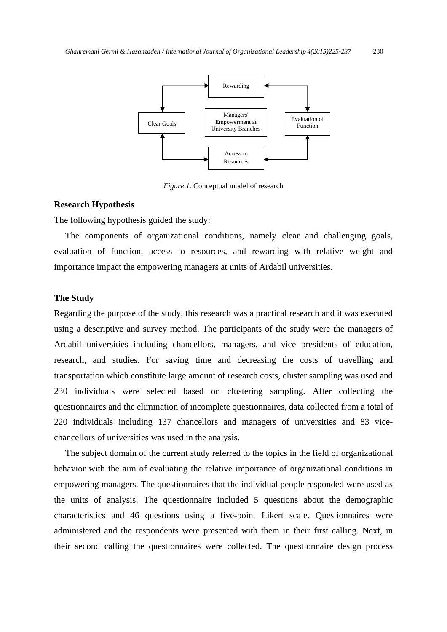

*Figure 1.* Conceptual model of research

#### **Research Hypothesis**

The following hypothesis guided the study:

 The components of organizational conditions, namely clear and challenging goals, evaluation of function, access to resources, and rewarding with relative weight and importance impact the empowering managers at units of Ardabil universities.

#### **The Study**

Regarding the purpose of the study, this research was a practical research and it was executed using a descriptive and survey method. The participants of the study were the managers of Ardabil universities including chancellors, managers, and vice presidents of education, research, and studies. For saving time and decreasing the costs of travelling and transportation which constitute large amount of research costs, cluster sampling was used and 230 individuals were selected based on clustering sampling. After collecting the questionnaires and the elimination of incomplete questionnaires, data collected from a total of 220 individuals including 137 chancellors and managers of universities and 83 vicechancellors of universities was used in the analysis.

 The subject domain of the current study referred to the topics in the field of organizational behavior with the aim of evaluating the relative importance of organizational conditions in empowering managers. The questionnaires that the individual people responded were used as the units of analysis. The questionnaire included 5 questions about the demographic characteristics and 46 questions using a five-point Likert scale. Questionnaires were administered and the respondents were presented with them in their first calling. Next, in their second calling the questionnaires were collected. The questionnaire design process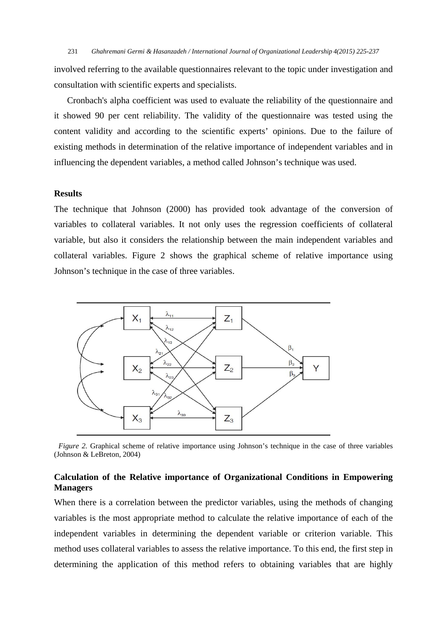involved referring to the available questionnaires relevant to the topic under investigation and consultation with scientific experts and specialists.

Cronbach's alpha coefficient was used to evaluate the reliability of the questionnaire and it showed 90 per cent reliability. The validity of the questionnaire was tested using the content validity and according to the scientific experts' opinions. Due to the failure of existing methods in determination of the relative importance of independent variables and in influencing the dependent variables, a method called Johnson's technique was used.

## **Results**

The technique that Johnson (2000) has provided took advantage of the conversion of variables to collateral variables. It not only uses the regression coefficients of collateral variable, but also it considers the relationship between the main independent variables and collateral variables. Figure 2 shows the graphical scheme of relative importance using Johnson's technique in the case of three variables.



 *Figure 2.* Graphical scheme of relative importance using Johnson's technique in the case of three variables (Johnson & LeBreton, 2004)

## **Calculation of the Relative importance of Organizational Conditions in Empowering Managers**

When there is a correlation between the predictor variables, using the methods of changing variables is the most appropriate method to calculate the relative importance of each of the independent variables in determining the dependent variable or criterion variable. This method uses collateral variables to assess the relative importance. To this end, the first step in determining the application of this method refers to obtaining variables that are highly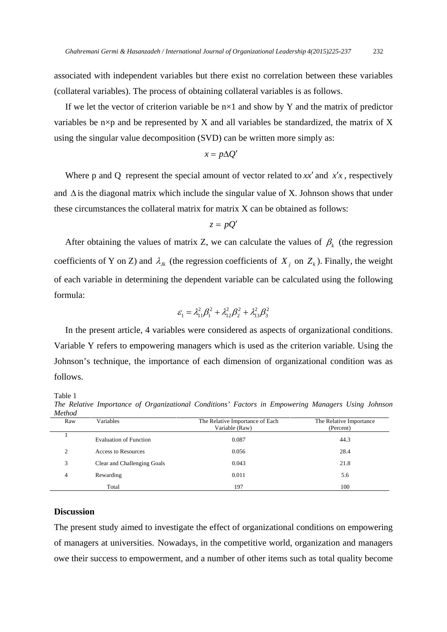associated with independent variables but there exist no correlation between these variables (collateral variables). The process of obtaining collateral variables is as follows.

If we let the vector of criterion variable be  $n \times 1$  and show by Y and the matrix of predictor variables be  $n \times p$  and be represented by X and all variables be standardized, the matrix of X using the singular value decomposition (SVD) can be written more simply as:

$$
x = p\Delta Q'
$$

Where p and Q represent the special amount of vector related to  $xx'$  and  $x'x$ , respectively and  $\Delta$  is the diagonal matrix which include the singular value of X. Johnson shows that under these circumstances the collateral matrix for matrix X can be obtained as follows:

$$
z=pQ'
$$

After obtaining the values of matrix Z, we can calculate the values of  $\beta_k$  (the regression coefficients of Y on Z) and  $\lambda_{jk}$  (the regression coefficients of  $X_j$  on  $Z_k$ ). Finally, the weight of each variable in determining the dependent variable can be calculated using the following formula:

$$
\varepsilon_1 = \lambda_{11}^2 \beta_1^2 + \lambda_{12}^2 \beta_2^2 + \lambda_{13}^2 \beta_3^2
$$

 In the present article, 4 variables were considered as aspects of organizational conditions. Variable Y refers to empowering managers which is used as the criterion variable. Using the Johnson's technique, the importance of each dimension of organizational condition was as follows.

Table 1

*The Relative Importance of Organizational Conditions' Factors in Empowering Managers Using Johnson Method* 

| 1110100 |                               |                                                   |                                      |
|---------|-------------------------------|---------------------------------------------------|--------------------------------------|
| Raw     | Variables                     | The Relative Importance of Each<br>Variable (Raw) | The Relative Importance<br>(Percent) |
|         | <b>Evaluation of Function</b> | 0.087                                             | 44.3                                 |
| 2       | <b>Access to Resources</b>    | 0.056                                             | 28.4                                 |
| 3       | Clear and Challenging Goals   | 0.043                                             | 21.8                                 |
| 4       | Rewarding                     | 0.011                                             | 5.6                                  |
| Total   |                               | 197                                               | 100                                  |

#### **Discussion**

The present study aimed to investigate the effect of organizational conditions on empowering of managers at universities. Nowadays, in the competitive world, organization and managers owe their success to empowerment, and a number of other items such as total quality become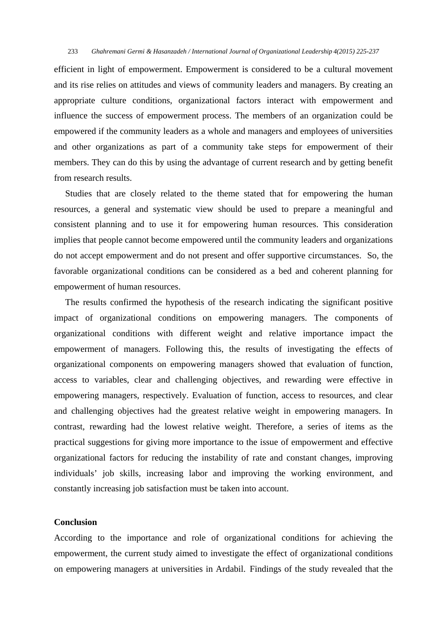efficient in light of empowerment. Empowerment is considered to be a cultural movement and its rise relies on attitudes and views of community leaders and managers. By creating an appropriate culture conditions, organizational factors interact with empowerment and influence the success of empowerment process. The members of an organization could be empowered if the community leaders as a whole and managers and employees of universities and other organizations as part of a community take steps for empowerment of their members. They can do this by using the advantage of current research and by getting benefit from research results.

 Studies that are closely related to the theme stated that for empowering the human resources, a general and systematic view should be used to prepare a meaningful and consistent planning and to use it for empowering human resources. This consideration implies that people cannot become empowered until the community leaders and organizations do not accept empowerment and do not present and offer supportive circumstances. So, the favorable organizational conditions can be considered as a bed and coherent planning for empowerment of human resources.

 The results confirmed the hypothesis of the research indicating the significant positive impact of organizational conditions on empowering managers. The components of organizational conditions with different weight and relative importance impact the empowerment of managers. Following this, the results of investigating the effects of organizational components on empowering managers showed that evaluation of function, access to variables, clear and challenging objectives, and rewarding were effective in empowering managers, respectively. Evaluation of function, access to resources, and clear and challenging objectives had the greatest relative weight in empowering managers. In contrast, rewarding had the lowest relative weight. Therefore, a series of items as the practical suggestions for giving more importance to the issue of empowerment and effective organizational factors for reducing the instability of rate and constant changes, improving individuals' job skills, increasing labor and improving the working environment, and constantly increasing job satisfaction must be taken into account.

## **Conclusion**

According to the importance and role of organizational conditions for achieving the empowerment, the current study aimed to investigate the effect of organizational conditions on empowering managers at universities in Ardabil. Findings of the study revealed that the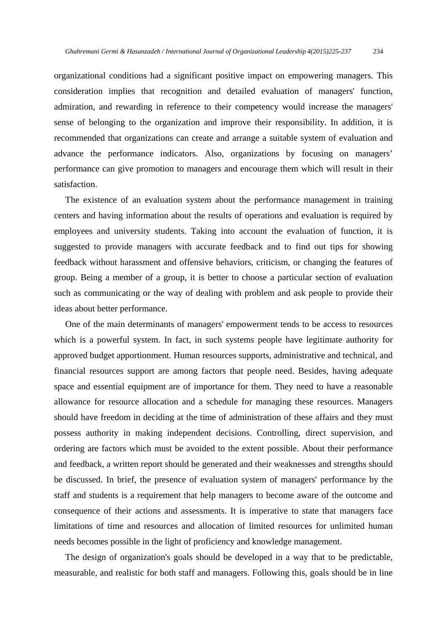organizational conditions had a significant positive impact on empowering managers. This consideration implies that recognition and detailed evaluation of managers' function, admiration, and rewarding in reference to their competency would increase the managers' sense of belonging to the organization and improve their responsibility. In addition, it is recommended that organizations can create and arrange a suitable system of evaluation and advance the performance indicators. Also, organizations by focusing on managers' performance can give promotion to managers and encourage them which will result in their satisfaction.

 The existence of an evaluation system about the performance management in training centers and having information about the results of operations and evaluation is required by employees and university students. Taking into account the evaluation of function, it is suggested to provide managers with accurate feedback and to find out tips for showing feedback without harassment and offensive behaviors, criticism, or changing the features of group. Being a member of a group, it is better to choose a particular section of evaluation such as communicating or the way of dealing with problem and ask people to provide their ideas about better performance.

 One of the main determinants of managers' empowerment tends to be access to resources which is a powerful system. In fact, in such systems people have legitimate authority for approved budget apportionment. Human resources supports, administrative and technical, and financial resources support are among factors that people need. Besides, having adequate space and essential equipment are of importance for them. They need to have a reasonable allowance for resource allocation and a schedule for managing these resources. Managers should have freedom in deciding at the time of administration of these affairs and they must possess authority in making independent decisions. Controlling, direct supervision, and ordering are factors which must be avoided to the extent possible. About their performance and feedback, a written report should be generated and their weaknesses and strengths should be discussed. In brief, the presence of evaluation system of managers' performance by the staff and students is a requirement that help managers to become aware of the outcome and consequence of their actions and assessments. It is imperative to state that managers face limitations of time and resources and allocation of limited resources for unlimited human needs becomes possible in the light of proficiency and knowledge management.

 The design of organization's goals should be developed in a way that to be predictable, measurable, and realistic for both staff and managers. Following this, goals should be in line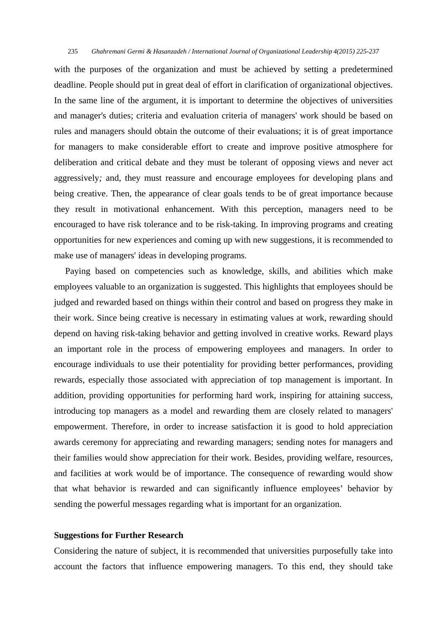with the purposes of the organization and must be achieved by setting a predetermined deadline. People should put in great deal of effort in clarification of organizational objectives. In the same line of the argument, it is important to determine the objectives of universities and manager's duties; criteria and evaluation criteria of managers' work should be based on rules and managers should obtain the outcome of their evaluations; it is of great importance for managers to make considerable effort to create and improve positive atmosphere for deliberation and critical debate and they must be tolerant of opposing views and never act aggressively*;* and, they must reassure and encourage employees for developing plans and being creative. Then, the appearance of clear goals tends to be of great importance because they result in motivational enhancement. With this perception, managers need to be encouraged to have risk tolerance and to be risk-taking. In improving programs and creating opportunities for new experiences and coming up with new suggestions, it is recommended to make use of managers' ideas in developing programs.

 Paying based on competencies such as knowledge, skills, and abilities which make employees valuable to an organization is suggested. This highlights that employees should be judged and rewarded based on things within their control and based on progress they make in their work. Since being creative is necessary in estimating values at work, rewarding should depend on having risk-taking behavior and getting involved in creative works*.* Reward plays an important role in the process of empowering employees and managers. In order to encourage individuals to use their potentiality for providing better performances, providing rewards, especially those associated with appreciation of top management is important. In addition, providing opportunities for performing hard work, inspiring for attaining success, introducing top managers as a model and rewarding them are closely related to managers' empowerment. Therefore, in order to increase satisfaction it is good to hold appreciation awards ceremony for appreciating and rewarding managers; sending notes for managers and their families would show appreciation for their work. Besides, providing welfare, resources, and facilities at work would be of importance. The consequence of rewarding would show that what behavior is rewarded and can significantly influence employees' behavior by sending the powerful messages regarding what is important for an organization.

## **Suggestions for Further Research**

Considering the nature of subject, it is recommended that universities purposefully take into account the factors that influence empowering managers. To this end, they should take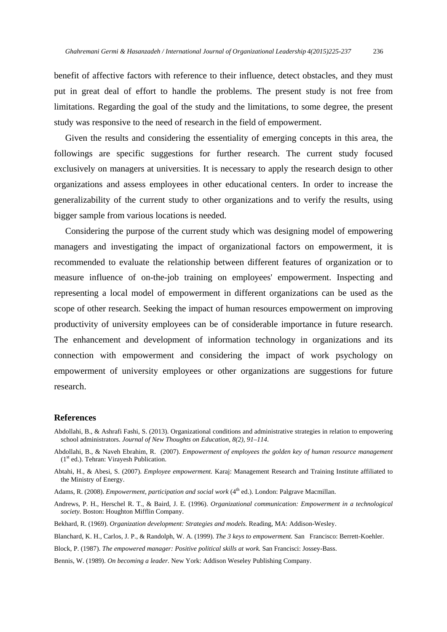benefit of affective factors with reference to their influence, detect obstacles, and they must put in great deal of effort to handle the problems. The present study is not free from limitations. Regarding the goal of the study and the limitations, to some degree, the present study was responsive to the need of research in the field of empowerment.

 Given the results and considering the essentiality of emerging concepts in this area, the followings are specific suggestions for further research. The current study focused exclusively on managers at universities. It is necessary to apply the research design to other organizations and assess employees in other educational centers. In order to increase the generalizability of the current study to other organizations and to verify the results, using bigger sample from various locations is needed.

 Considering the purpose of the current study which was designing model of empowering managers and investigating the impact of organizational factors on empowerment, it is recommended to evaluate the relationship between different features of organization or to measure influence of on-the-job training on employees' empowerment. Inspecting and representing a local model of empowerment in different organizations can be used as the scope of other research. Seeking the impact of human resources empowerment on improving productivity of university employees can be of considerable importance in future research. The enhancement and development of information technology in organizations and its connection with empowerment and considering the impact of work psychology on empowerment of university employees or other organizations are suggestions for future research.

#### **References**

- Abdollahi, B., & Ashrafi Fashi, S. (2013). Organizational conditions and administrative strategies in relation to empowering school administrators. *Journal of New Thoughts on Education, 8(2), 91–114*.
- Abdollahi, B., & Naveh Ebrahim, R. (2007). *Empowerment of employees the golden key of human resource management* (1st ed.). Tehran: Virayesh Publication.
- Abtahi, H., & Abesi, S. (2007). *Employee empowerment.* Karaj: Management Research and Training Institute affiliated to the Ministry of Energy.
- Adams, R. (2008). *Empowerment, participation and social work* (4<sup>th</sup> ed.). London: Palgrave Macmillan.
- Andrews, P. H., Herschel R. T., & Baird, J. E*.* (1996). *Organizational communication: Empowerment in a technological society.* Boston: Houghton Mifflin Company.
- Bekhard, R. (1969). *Organization development: Strategies and models.* Reading, MA: Addison-Wesley.
- Blanchard, K. H., Carlos, J. P., & Randolph, W. A. (1999). *The 3 keys to empowerment.* San Francisco: Berrett-Koehler.
- Block, P. (1987). *The empowered manager: Positive political skills at work.* San Francisci: Jossey-Bass.
- Bennis, W. (1989). *On becoming a leader.* New York: Addison Weseley Publishing Company.